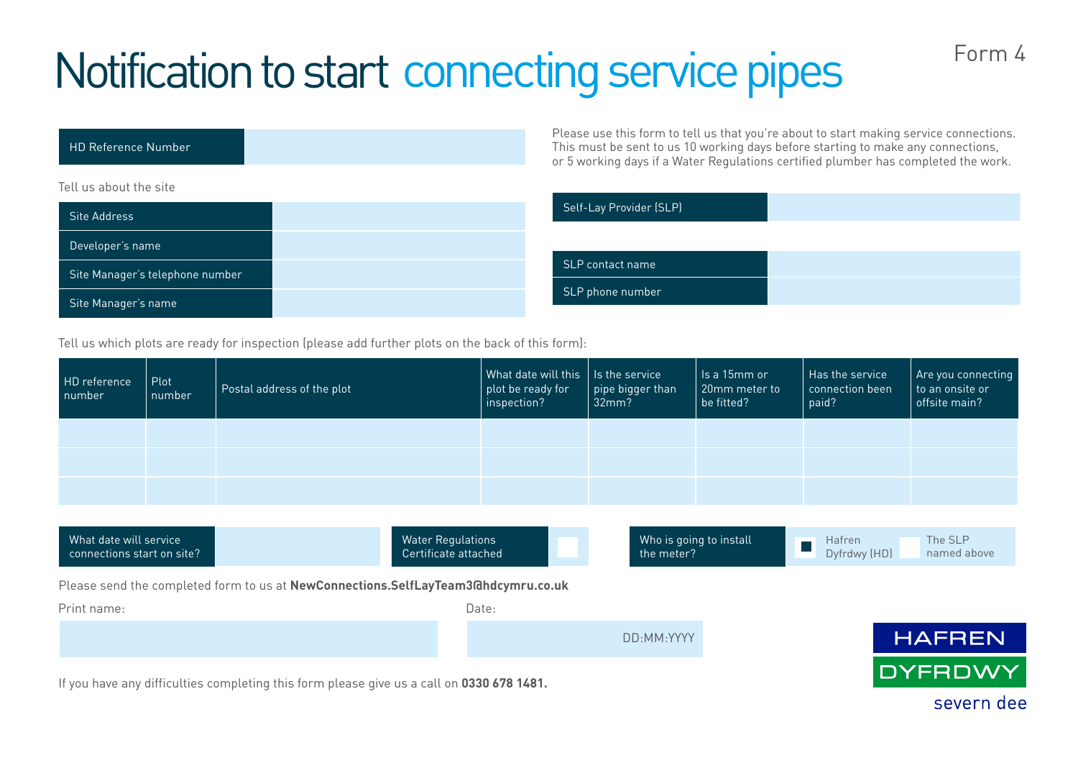## Notification to start connecting service pipes

| <b>HD Reference Number</b>      | Please use lii<br>This must be<br>or 5 working |
|---------------------------------|------------------------------------------------|
| Tell us about the site          |                                                |
| Site Address                    | Self-Lay Pro                                   |
| Developer's name                |                                                |
| Site Manager's telephone number | <b>SLP</b> contact                             |
| Site Manager's name             | SLP phone n                                    |

Please use this form to tell us that you're about to start making service connections. sent to us 10 working days before starting to make any connections, days if a Water Regulations certified plumber has completed the work.

| Self-Lay Provider (SLP) |  |
|-------------------------|--|
|                         |  |
| SLP contact name        |  |
| SLP phone number        |  |

Tell us which plots are ready for inspection (please add further plots on the back of this form):

| HD reference<br>number | Plot<br>number | Postal address of the plot | What date will this I is the service<br>plot be ready for<br>inspection? | $\mid$ pipe bigger than $\mid$<br>32mm? | ls a 15mm or<br>20mm meter to<br>be fitted? | Has the service<br>connection been<br>paid? | Are you connecting<br>to an onsite or<br>offsite main? |
|------------------------|----------------|----------------------------|--------------------------------------------------------------------------|-----------------------------------------|---------------------------------------------|---------------------------------------------|--------------------------------------------------------|
|                        |                |                            |                                                                          |                                         |                                             |                                             |                                                        |
|                        |                |                            |                                                                          |                                         |                                             |                                             |                                                        |
|                        |                |                            |                                                                          |                                         |                                             |                                             |                                                        |

| What date will service<br>connections start on site?                                      |  | <b>Water Regulations</b><br>Certificate attached |  | Who is going to install<br>the meter? | Hafren<br>Dyfrdwy (HD) | The SLP<br>named above |  |
|-------------------------------------------------------------------------------------------|--|--------------------------------------------------|--|---------------------------------------|------------------------|------------------------|--|
| Please send the completed form to us at NewConnections.SelfLayTeam3Ghdcymru.co.uk         |  |                                                  |  |                                       |                        |                        |  |
| Print name:                                                                               |  | Date:                                            |  |                                       |                        |                        |  |
|                                                                                           |  |                                                  |  | DD:MM:YYYY                            |                        | <b>HAFREN</b>          |  |
| If you have any difficulties completing this form please give us a call on 0330 678 1481. |  | DYFRDWY                                          |  |                                       |                        |                        |  |

severn dee

Form 4